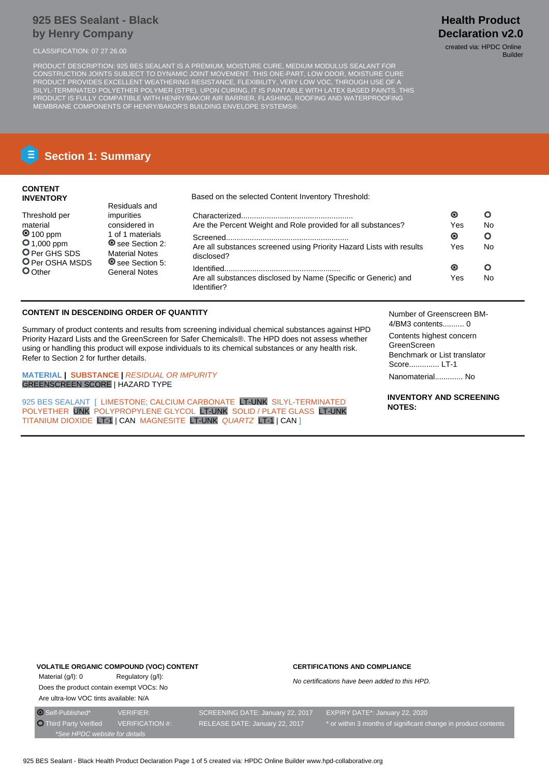## **925 BES Sealant - Black by Henry Company**

CLASSIFICATION: 07 27 26.00 created via: HPDC Online

PRODUCT DESCRIPTION: 925 BES SEALANT IS A PREMIUM, MOISTURE CURE, MEDIUM MODULUS SEALANT FOR CONSTRUCTION JOINTS SUBJECT TO DYNAMIC JOINT MOVEMENT. THIS ONE-PART, LOW ODOR, MOISTURE CURE PRODUCT PROVIDES EXCELLENT WEATHERING RESISTANCE, FLEXIBILITY, VERY LOW VOC, THROUGH USE OF A SILYL-TERMINATED POLYETHER POLYMER (STPE). UPON CURING, IT IS PAINTABLE WITH LATEX BASED PAINTS. THIS PRODUCT IS FULLY COMPATIBLE WITH HENRY/BAKOR AIR BARRIER, FLASHING, ROOFING AND WATERPROOFING MEMBRANE COMPONENTS OF HENRY/BAKOR'S BUILDING ENVELOPE SYSTEMS®.

# **Section 1: Summary**

## **CONTENT INVENTORY**

Threshold per material **0** 100 ppm **O** 1,000 ppm O Per GHS SDS **O** Per OSHA MSDS

**O**Other

Based on the selected Content Inventory Threshold:

| Residuals and                                   |                                                                                    |     |    |
|-------------------------------------------------|------------------------------------------------------------------------------------|-----|----|
| impurities                                      |                                                                                    | O   | Ω  |
| considered in                                   | Are the Percent Weight and Role provided for all substances?                       | Yes | No |
| 1 of 1 materials                                |                                                                                    | Θ   | Ο  |
| See Section 2:<br><b>Material Notes</b>         | Are all substances screened using Priority Hazard Lists with results<br>disclosed? | Yes | No |
| <b>◎</b> see Section 5:<br><b>General Notes</b> |                                                                                    | О   | Ο  |
|                                                 | Are all substances disclosed by Name (Specific or Generic) and<br>Identifier?      | Yes | No |

## **CONTENT IN DESCENDING ORDER OF QUANTITY**

Summary of product contents and results from screening individual chemical substances against HPD Priority Hazard Lists and the GreenScreen for Safer Chemicals®. The HPD does not assess whether using or handling this product will expose individuals to its chemical substances or any health risk. Refer to Section 2 for further details.

**MATERIAL | SUBSTANCE |** RESIDUAL OR IMPURITY GREENSCREEN SCORE | HAZARD TYPE

925 BES SEALANT [ LIMESTONE: CALCIUM CARBONATE LT-UNK SILYL-TERMINATED POLYETHER UNK POLYPROPYLENE GLYCOL LT-UNK SOLID / PLATE GLASS LT-UNK TITANIUM DIOXIDE LT-1 | CAN MAGNESITE LT-UNK QUARTZ LT-1 | CAN ]

Number of Greenscreen BM-4/BM3 contents.......... 0

Contents highest concern GreenScreen Benchmark or List translator Score.............. LT-1

Nanomaterial............. No

**INVENTORY AND SCREENING NOTES:**

#### **VOLATILE ORGANIC COMPOUND (VOC) CONTENT**

Material (g/l): 0 Regulatory (g/l): Does the product contain exempt VOCs: No Are ultra-low VOC tints available: N/A

#### **CERTIFICATIONS AND COMPLIANCE**

No certifications have been added to this HPD.

**Health Product Declaration v2.0**

Builder

\*See HPDC website for details

O Self-Published\* VERIFIER: SCREENING DATE: January 22, 2017 EXPIRY DATE\*: January 22, 2020 Third Party Verified VERIFICATION #: RELEASE DATE: January 22, 2017 \* or within 3 months of significant change in product contents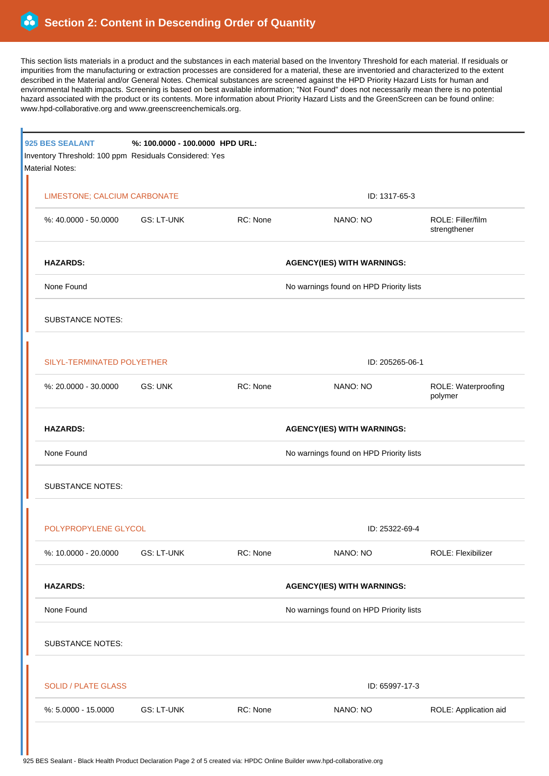This section lists materials in a product and the substances in each material based on the Inventory Threshold for each material. If residuals or impurities from the manufacturing or extraction processes are considered for a material, these are inventoried and characterized to the extent described in the Material and/or General Notes. Chemical substances are screened against the HPD Priority Hazard Lists for human and environmental health impacts. Screening is based on best available information; "Not Found" does not necessarily mean there is no potential hazard associated with the product or its contents. More information about Priority Hazard Lists and the GreenScreen can be found online: www.hpd-collaborative.org and www.greenscreenchemicals.org.

|  | 925 BES SEALANT<br>Inventory Threshold: 100 ppm Residuals Considered: Yes<br><b>Material Notes:</b> | %: 100.0000 - 100.0000 HPD URL: |                                         |                                         |                                   |  |  |
|--|-----------------------------------------------------------------------------------------------------|---------------------------------|-----------------------------------------|-----------------------------------------|-----------------------------------|--|--|
|  | LIMESTONE; CALCIUM CARBONATE                                                                        |                                 |                                         | ID: 1317-65-3                           |                                   |  |  |
|  | %: 40.0000 - 50.0000 GS: LT-UNK                                                                     |                                 | RC: None                                | NANO: NO                                | ROLE: Filler/film<br>strengthener |  |  |
|  | <b>HAZARDS:</b>                                                                                     |                                 | <b>AGENCY(IES) WITH WARNINGS:</b>       |                                         |                                   |  |  |
|  | None Found                                                                                          |                                 |                                         | No warnings found on HPD Priority lists |                                   |  |  |
|  | <b>SUBSTANCE NOTES:</b>                                                                             |                                 |                                         |                                         |                                   |  |  |
|  | SILYL-TERMINATED POLYETHER                                                                          |                                 |                                         | ID: 205265-06-1                         |                                   |  |  |
|  | %: 20.0000 - 30.0000                                                                                | GS: UNK                         | RC: None                                | NANO: NO                                | ROLE: Waterproofing<br>polymer    |  |  |
|  | <b>HAZARDS:</b><br>None Found                                                                       |                                 |                                         | <b>AGENCY(IES) WITH WARNINGS:</b>       |                                   |  |  |
|  |                                                                                                     |                                 |                                         | No warnings found on HPD Priority lists |                                   |  |  |
|  | <b>SUBSTANCE NOTES:</b>                                                                             |                                 |                                         |                                         |                                   |  |  |
|  | POLYPROPYLENE GLYCOL                                                                                |                                 |                                         | ID: 25322-69-4                          |                                   |  |  |
|  | %: 10.0000 - 20.0000                                                                                | <b>GS: LT-UNK</b>               | RC: None                                | NANO: NO                                | ROLE: Flexibilizer                |  |  |
|  | <b>HAZARDS:</b>                                                                                     |                                 | <b>AGENCY(IES) WITH WARNINGS:</b>       |                                         |                                   |  |  |
|  | None Found                                                                                          |                                 | No warnings found on HPD Priority lists |                                         |                                   |  |  |
|  | <b>SUBSTANCE NOTES:</b>                                                                             |                                 |                                         |                                         |                                   |  |  |
|  | <b>SOLID / PLATE GLASS</b>                                                                          |                                 | ID: 65997-17-3                          |                                         |                                   |  |  |
|  | %: 5.0000 - 15.0000                                                                                 | <b>GS: LT-UNK</b>               | RC: None                                | NANO: NO                                | ROLE: Application aid             |  |  |
|  |                                                                                                     |                                 |                                         |                                         |                                   |  |  |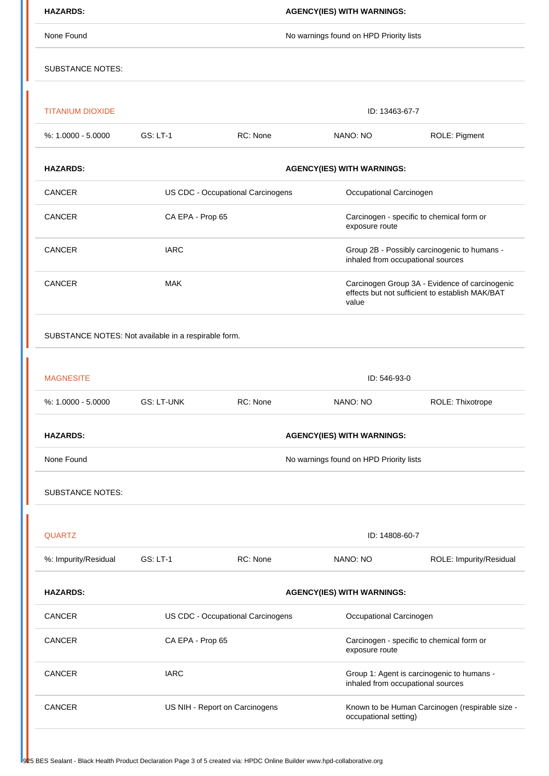| <b>HAZARDS:</b>                                      | <b>AGENCY(IES) WITH WARNINGS:</b>       |                                                              |                                                                                                            |                         |  |  |  |
|------------------------------------------------------|-----------------------------------------|--------------------------------------------------------------|------------------------------------------------------------------------------------------------------------|-------------------------|--|--|--|
| None Found                                           | No warnings found on HPD Priority lists |                                                              |                                                                                                            |                         |  |  |  |
| <b>SUBSTANCE NOTES:</b>                              |                                         |                                                              |                                                                                                            |                         |  |  |  |
| <b>TITANIUM DIOXIDE</b>                              |                                         |                                                              | ID: 13463-67-7                                                                                             |                         |  |  |  |
| $%: 1.0000 - 5.0000$                                 | <b>GS: LT-1</b>                         | RC: None                                                     | NANO: NO                                                                                                   | ROLE: Pigment           |  |  |  |
| <b>HAZARDS:</b>                                      | <b>AGENCY(IES) WITH WARNINGS:</b>       |                                                              |                                                                                                            |                         |  |  |  |
| CANCER                                               |                                         | US CDC - Occupational Carcinogens<br>Occupational Carcinogen |                                                                                                            |                         |  |  |  |
| <b>CANCER</b>                                        | CA EPA - Prop 65                        |                                                              | Carcinogen - specific to chemical form or<br>exposure route                                                |                         |  |  |  |
| CANCER                                               | <b>IARC</b>                             |                                                              | Group 2B - Possibly carcinogenic to humans -<br>inhaled from occupational sources                          |                         |  |  |  |
| CANCER                                               | <b>MAK</b>                              |                                                              | Carcinogen Group 3A - Evidence of carcinogenic<br>effects but not sufficient to establish MAK/BAT<br>value |                         |  |  |  |
| SUBSTANCE NOTES: Not available in a respirable form. |                                         |                                                              |                                                                                                            |                         |  |  |  |
|                                                      |                                         |                                                              |                                                                                                            |                         |  |  |  |
| <b>MAGNESITE</b>                                     | ID: 546-93-0                            |                                                              |                                                                                                            |                         |  |  |  |
| %: 1.0000 - 5.0000                                   | <b>GS: LT-UNK</b>                       | RC: None                                                     | NANO: NO                                                                                                   | ROLE: Thixotrope        |  |  |  |
| <b>HAZARDS:</b>                                      | <b>AGENCY(IES) WITH WARNINGS:</b>       |                                                              |                                                                                                            |                         |  |  |  |
| None Found                                           | No warnings found on HPD Priority lists |                                                              |                                                                                                            |                         |  |  |  |
| <b>SUBSTANCE NOTES:</b>                              |                                         |                                                              |                                                                                                            |                         |  |  |  |
| <b>QUARTZ</b>                                        |                                         | ID: 14808-60-7                                               |                                                                                                            |                         |  |  |  |
| %: Impurity/Residual                                 | <b>GS: LT-1</b>                         | RC: None                                                     | NANO: NO                                                                                                   | ROLE: Impurity/Residual |  |  |  |
| <b>HAZARDS:</b>                                      | <b>AGENCY(IES) WITH WARNINGS:</b>       |                                                              |                                                                                                            |                         |  |  |  |
| <b>CANCER</b>                                        | US CDC - Occupational Carcinogens       |                                                              | Occupational Carcinogen                                                                                    |                         |  |  |  |
| CANCER                                               | CA EPA - Prop 65                        |                                                              | Carcinogen - specific to chemical form or<br>exposure route                                                |                         |  |  |  |
| CANCER                                               | <b>IARC</b>                             |                                                              | Group 1: Agent is carcinogenic to humans -<br>inhaled from occupational sources                            |                         |  |  |  |
| <b>CANCER</b>                                        | US NIH - Report on Carcinogens          |                                                              | Known to be Human Carcinogen (respirable size -<br>occupational setting)                                   |                         |  |  |  |
|                                                      |                                         |                                                              |                                                                                                            |                         |  |  |  |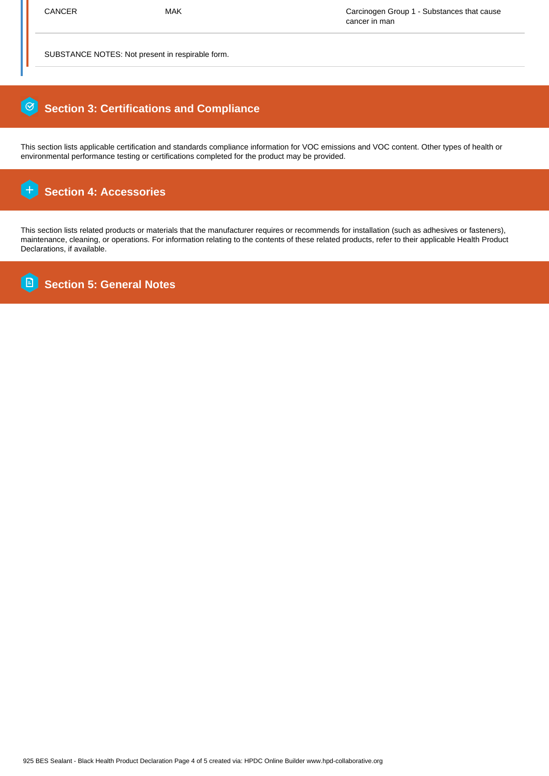SUBSTANCE NOTES: Not present in respirable form.

## 0  **Section 3: Certifications and Compliance**

This section lists applicable certification and standards compliance information for VOC emissions and VOC content. Other types of health or environmental performance testing or certifications completed for the product may be provided.

#### $\overline{+}$  **Section 4: Accessories**

This section lists related products or materials that the manufacturer requires or recommends for installation (such as adhesives or fasteners), maintenance, cleaning, or operations. For information relating to the contents of these related products, refer to their applicable Health Product Declarations, if available.

**B Section 5: General Notes**